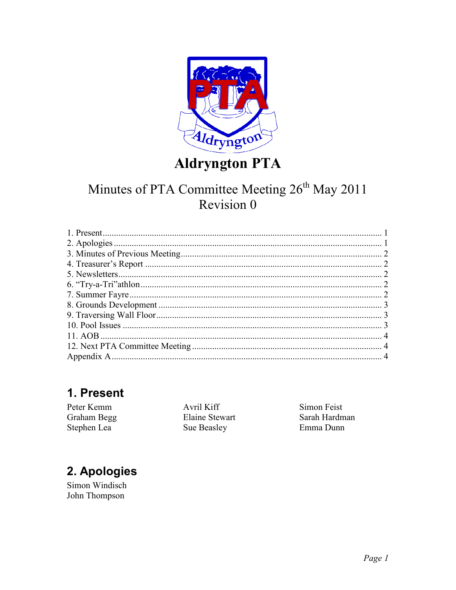

# **Aldryngton PTA**

## Minutes of PTA Committee Meeting 26<sup>th</sup> May 2011 Revision 0

### 1. Present

Peter Kemm Graham Begg Stephen Lea

Avril Kiff Elaine Stewart Sue Beasley

Simon Feist Sarah Hardman Emma Dunn

# 2. Apologies

Simon Windisch John Thompson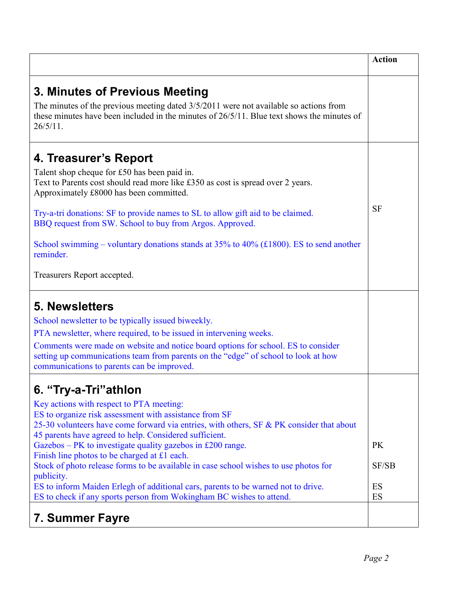|                                                                                                                                                                                                                                                                                                                                                                                                                                                                                                                                                                                                                                                                   | <b>Action</b>                  |
|-------------------------------------------------------------------------------------------------------------------------------------------------------------------------------------------------------------------------------------------------------------------------------------------------------------------------------------------------------------------------------------------------------------------------------------------------------------------------------------------------------------------------------------------------------------------------------------------------------------------------------------------------------------------|--------------------------------|
| 3. Minutes of Previous Meeting<br>The minutes of the previous meeting dated $3/5/2011$ were not available so actions from<br>these minutes have been included in the minutes of $26/5/11$ . Blue text shows the minutes of<br>$26/5/11$ .                                                                                                                                                                                                                                                                                                                                                                                                                         |                                |
| 4. Treasurer's Report<br>Talent shop cheque for £50 has been paid in.<br>Text to Parents cost should read more like £350 as cost is spread over 2 years.<br>Approximately £8000 has been committed.<br>Try-a-tri donations: SF to provide names to SL to allow gift aid to be claimed.<br>BBQ request from SW. School to buy from Argos. Approved.<br>School swimming – voluntary donations stands at $35\%$ to $40\%$ (£1800). ES to send another<br>reminder.<br>Treasurers Report accepted.                                                                                                                                                                    | <b>SF</b>                      |
| <b>5. Newsletters</b><br>School newsletter to be typically issued biweekly.<br>PTA newsletter, where required, to be issued in intervening weeks.<br>Comments were made on website and notice board options for school. ES to consider<br>setting up communications team from parents on the "edge" of school to look at how<br>communications to parents can be improved.                                                                                                                                                                                                                                                                                        |                                |
| 6. "Try-a-Tri"athlon<br>Key actions with respect to PTA meeting:<br>ES to organize risk assessment with assistance from SF<br>25-30 volunteers have come forward via entries, with others, SF & PK consider that about<br>45 parents have agreed to help. Considered sufficient.<br>Gazebos – PK to investigate quality gazebos in £200 range.<br>Finish line photos to be charged at £1 each.<br>Stock of photo release forms to be available in case school wishes to use photos for<br>publicity.<br>ES to inform Maiden Erlegh of additional cars, parents to be warned not to drive.<br>ES to check if any sports person from Wokingham BC wishes to attend. | <b>PK</b><br>SF/SB<br>ES<br>ES |
| 7. Summer Fayre                                                                                                                                                                                                                                                                                                                                                                                                                                                                                                                                                                                                                                                   |                                |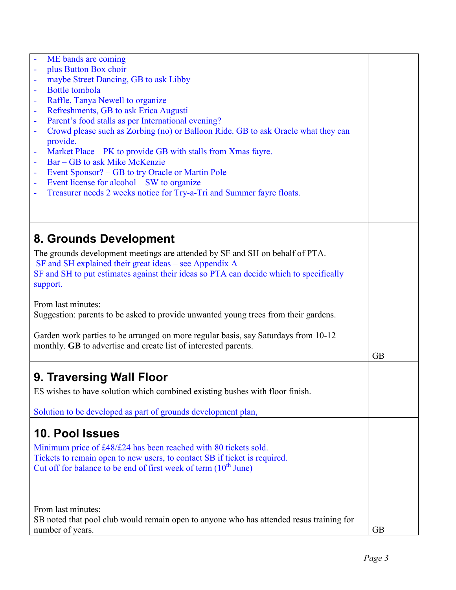| ME bands are coming<br>plus Button Box choir<br>$\blacksquare$                                      |  |
|-----------------------------------------------------------------------------------------------------|--|
|                                                                                                     |  |
| maybe Street Dancing, GB to ask Libby<br>$\overline{\phantom{a}}$                                   |  |
| <b>Bottle</b> tombola<br>$\blacksquare$                                                             |  |
| Raffle, Tanya Newell to organize                                                                    |  |
| Refreshments, GB to ask Erica Augusti<br>$\blacksquare$                                             |  |
| Parent's food stalls as per International evening?<br>$\blacksquare$                                |  |
| Crowd please such as Zorbing (no) or Balloon Ride. GB to ask Oracle what they can<br>$\blacksquare$ |  |
| provide.                                                                                            |  |
| Market Place – PK to provide GB with stalls from Xmas fayre.<br>$\blacksquare$                      |  |
| Bar – GB to ask Mike McKenzie                                                                       |  |
| Event Sponsor? – GB to try Oracle or Martin Pole<br>$\blacksquare$                                  |  |
| Event license for alcohol – SW to organize<br>$\blacksquare$                                        |  |
| Treasurer needs 2 weeks notice for Try-a-Tri and Summer fayre floats.<br>$\blacksquare$             |  |
|                                                                                                     |  |
|                                                                                                     |  |
|                                                                                                     |  |
| 8. Grounds Development                                                                              |  |
| The grounds development meetings are attended by SF and SH on behalf of PTA.                        |  |
| SF and SH explained their great ideas - see Appendix A                                              |  |
| SF and SH to put estimates against their ideas so PTA can decide which to specifically              |  |
| support.                                                                                            |  |
|                                                                                                     |  |
| From last minutes:                                                                                  |  |
| Suggestion: parents to be asked to provide unwanted young trees from their gardens.                 |  |
|                                                                                                     |  |
| Garden work parties to be arranged on more regular basis, say Saturdays from 10-12                  |  |
| monthly. GB to advertise and create list of interested parents.                                     |  |
| <b>GB</b>                                                                                           |  |
|                                                                                                     |  |
| 9. Traversing Wall Floor                                                                            |  |
|                                                                                                     |  |
| ES wishes to have solution which combined existing bushes with floor finish.                        |  |
|                                                                                                     |  |
| Solution to be developed as part of grounds development plan,                                       |  |
| 10. Pool Issues                                                                                     |  |
|                                                                                                     |  |
| Minimum price of £48/£24 has been reached with 80 tickets sold.                                     |  |
| Tickets to remain open to new users, to contact SB if ticket is required.                           |  |
| Cut off for balance to be end of first week of term $(10^{th}$ June)                                |  |
|                                                                                                     |  |
|                                                                                                     |  |
|                                                                                                     |  |
| From last minutes:                                                                                  |  |
| SB noted that pool club would remain open to anyone who has attended resus training for             |  |
| number of years.<br><b>GB</b>                                                                       |  |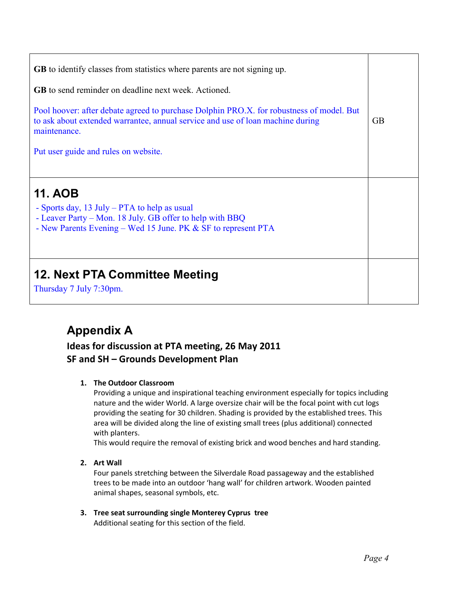| <b>GB</b> to identify classes from statistics where parents are not signing up.                                                                                                             |           |
|---------------------------------------------------------------------------------------------------------------------------------------------------------------------------------------------|-----------|
| <b>GB</b> to send reminder on deadline next week. Actioned.                                                                                                                                 |           |
| Pool hoover: after debate agreed to purchase Dolphin PRO.X. for robustness of model. But<br>to ask about extended warrantee, annual service and use of loan machine during<br>maintenance.  | <b>GB</b> |
| Put user guide and rules on website.                                                                                                                                                        |           |
|                                                                                                                                                                                             |           |
| <b>11. AOB</b><br>- Sports day, 13 July – PTA to help as usual<br>- Leaver Party – Mon. 18 July. GB offer to help with BBQ<br>- New Parents Evening – Wed 15 June. PK & SF to represent PTA |           |
| 12. Next PTA Committee Meeting                                                                                                                                                              |           |

## **Appendix A**

### **Ideas for discussion at PTA meeting, 26 May 2011 SF and SH – Grounds Development Plan**

### **1. The Outdoor Classroom**

Providing a unique and inspirational teaching environment especially for topics including nature and the wider World. A large oversize chair will be the focal point with cut logs providing the seating for 30 children. Shading is provided by the established trees. This area will be divided along the line of existing small trees (plus additional) connected with planters.

This would require the removal of existing brick and wood benches and hard standing.

**2. Art Wall** 

Four panels stretching between the Silverdale Road passageway and the established trees to be made into an outdoor 'hang wall' for children artwork. Wooden painted animal shapes, seasonal symbols, etc.

**3. Tree seat surrounding single Monterey Cyprus tree**  Additional seating for this section of the field.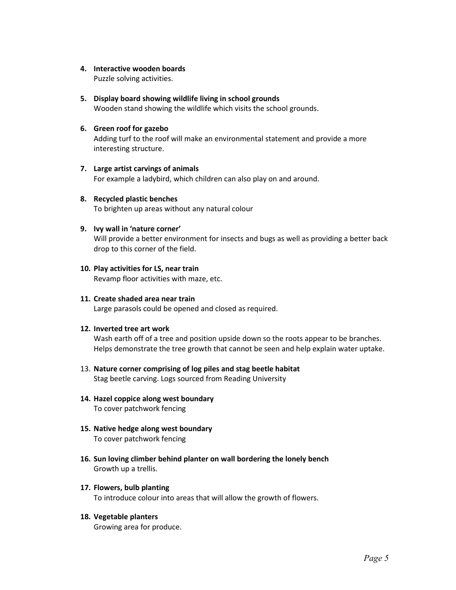#### **4. Interactive wooden boards**

Puzzle solving activities.

#### **5. Display board showing wildlife living in school grounds**

Wooden stand showing the wildlife which visits the school grounds.

#### **6. Green roof for gazebo**

Adding turf to the roof will make an environmental statement and provide a more interesting structure.

#### **7. Large artist carvings of animals**

For example a ladybird, which children can also play on and around.

**8. Recycled plastic benches**  To brighten up areas without any natural colour

#### **9. Ivy wall in 'nature corner'**

Will provide a better environment for insects and bugs as well as providing a better back drop to this corner of the field.

#### **10. Play activities for LS, near train**

Revamp floor activities with maze, etc.

**11. Create shaded area near train**  Large parasols could be opened and closed as required.

#### **12. Inverted tree art work**

Wash earth off of a tree and position upside down so the roots appear to be branches. Helps demonstrate the tree growth that cannot be seen and help explain water uptake.

- 13. **Nature corner comprising of log piles and stag beetle habitat** Stag beetle carving. Logs sourced from Reading University
- **14. Hazel coppice along west boundary**  To cover patchwork fencing
- **15. Native hedge along west boundary**  To cover patchwork fencing
- **16. Sun loving climber behind planter on wall bordering the lonely bench**  Growth up a trellis.
- **17. Flowers, bulb planting**  To introduce colour into areas that will allow the growth of flowers.

#### **18. Vegetable planters**

Growing area for produce.